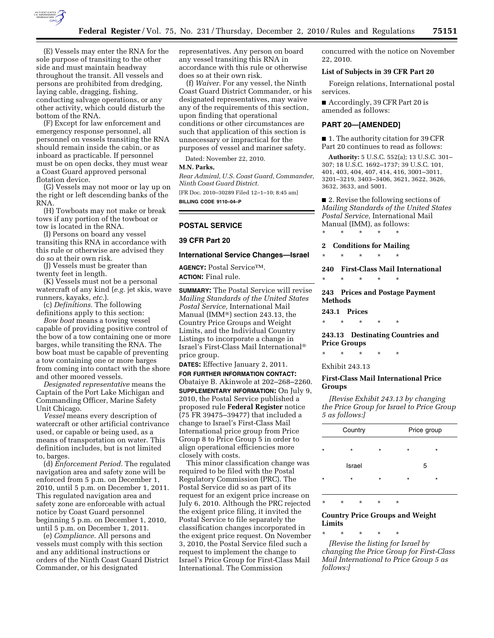

(E) Vessels may enter the RNA for the sole purpose of transiting to the other side and must maintain headway throughout the transit. All vessels and persons are prohibited from dredging, laying cable, dragging, fishing, conducting salvage operations, or any other activity, which could disturb the bottom of the RNA.

(F) Except for law enforcement and emergency response personnel, all personnel on vessels transiting the RNA should remain inside the cabin, or as inboard as practicable. If personnel must be on open decks, they must wear a Coast Guard approved personal flotation device.

(G) Vessels may not moor or lay up on the right or left descending banks of the RNA.

(H) Towboats may not make or break tows if any portion of the towboat or tow is located in the RNA.

(I) Persons on board any vessel transiting this RNA in accordance with this rule or otherwise are advised they do so at their own risk.

(J) Vessels must be greater than twenty feet in length.

(K) Vessels must not be a personal watercraft of any kind (*e.g.* jet skis, wave runners, kayaks, *etc.*).

(c) *Definitions.* The following definitions apply to this section:

*Bow boat* means a towing vessel capable of providing positive control of the bow of a tow containing one or more barges, while transiting the RNA. The bow boat must be capable of preventing a tow containing one or more barges from coming into contact with the shore and other moored vessels.

*Designated representative* means the Captain of the Port Lake Michigan and Commanding Officer, Marine Safety Unit Chicago.

*Vessel* means every description of watercraft or other artificial contrivance used, or capable or being used, as a means of transportation on water. This definition includes, but is not limited to, barges.

(d) *Enforcement Period.* The regulated navigation area and safety zone will be enforced from 5 p.m. on December 1, 2010, until 5 p.m. on December 1, 2011. This regulated navigation area and safety zone are enforceable with actual notice by Coast Guard personnel beginning 5 p.m. on December 1, 2010, until 5 p.m. on December 1, 2011.

(e) *Compliance.* All persons and vessels must comply with this section and any additional instructions or orders of the Ninth Coast Guard District Commander, or his designated

representatives. Any person on board any vessel transiting this RNA in accordance with this rule or otherwise does so at their own risk.

(f) *Waiver.* For any vessel, the Ninth Coast Guard District Commander, or his designated representatives, may waive any of the requirements of this section, upon finding that operational conditions or other circumstances are such that application of this section is unnecessary or impractical for the purposes of vessel and mariner safety.

Dated: November 22, 2010.

#### **M.N. Parks,**

*Rear Admiral, U.S. Coast Guard, Commander, Ninth Coast Guard District.* 

[FR Doc. 2010–30289 Filed 12–1–10; 8:45 am] **BILLING CODE 9110–04–P** 

## **POSTAL SERVICE**

## **39 CFR Part 20**

### **International Service Changes—Israel**

**AGENCY:** Postal ServiceTM. **ACTION:** Final rule.

**SUMMARY:** The Postal Service will revise *Mailing Standards of the United States Postal Service,* International Mail Manual (IMM®) section 243.13, the Country Price Groups and Weight Limits, and the Individual Country Listings to incorporate a change in Israel's First-Class Mail International® price group.

**DATES:** Effective January 2, 2011.

**FOR FURTHER INFORMATION CONTACT:**  Obataiye B. Akinwole at 202–268–2260. **SUPPLEMENTARY INFORMATION:** On July 9, 2010, the Postal Service published a proposed rule **Federal Register** notice (75 FR 39475–39477) that included a change to Israel's First-Class Mail International price group from Price Group 8 to Price Group 5 in order to align operational efficiencies more closely with costs.

This minor classification change was required to be filed with the Postal Regulatory Commission (PRC). The Postal Service did so as part of its request for an exigent price increase on July 6, 2010. Although the PRC rejected the exigent price filing, it invited the Postal Service to file separately the classification changes incorporated in the exigent price request. On November 3, 2010, the Postal Service filed such a request to implement the change to Israel's Price Group for First-Class Mail International. The Commission

concurred with the notice on November 22, 2010.

## **List of Subjects in 39 CFR Part 20**

Foreign relations, International postal services.

■ Accordingly, 39 CFR Part 20 is amended as follows:

#### **PART 20—[AMENDED]**

■ 1. The authority citation for 39 CFR Part 20 continues to read as follows:

**Authority:** 5 U.S.C. 552(a); 13 U.S.C. 301– 307; 18 U.S.C. 1692–1737; 39 U.S.C. 101, 401, 403, 404, 407, 414, 416, 3001–3011, 3201–3219, 3403–3406, 3621, 3622, 3626, 3632, 3633, and 5001.

■ 2. Revise the following sections of *Mailing Standards of the United States Postal Service,* International Mail Manual (IMM), as follows: \* \* \* \* \*

#### **2 Conditions for Mailing**

\* \* \* \* \*

**240 First-Class Mail International**  \* \* \* \* \*

**243 Prices and Postage Payment Methods** 

**243.1 Prices** 

\* \* \* \* \*

**243.13 Destinating Countries and Price Groups** 

\* \* \* \* \*

## Exhibit 243.13

## **First-Class Mail International Price Groups**

*[Revise Exhibit 243.13 by changing the Price Group for Israel to Price Group 5 as follows:]* 

|         | Country | Price group |         |         |  |
|---------|---------|-------------|---------|---------|--|
| $\star$ | $\star$ | $\star$     | $\star$ | $\star$ |  |
|         | Israel  |             |         | 5       |  |
| $\star$ | $\star$ | $\star$     | $\star$ | $\star$ |  |
|         |         |             |         |         |  |

\* \* \* \* \*

## **Country Price Groups and Weight Limits**

\* \* \* \* \* *[Revise the listing for Israel by changing the Price Group for First-Class Mail International to Price Group 5 as follows:]*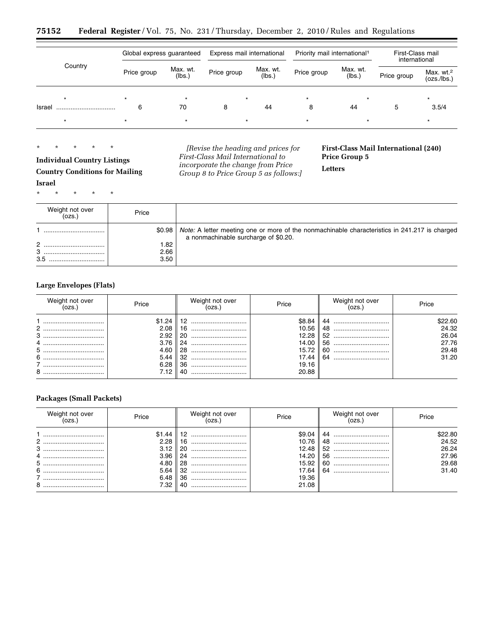| 75152 |  |  |  |  |  |  |  |  |  |  |  | <b>Federal Register</b> /Vol. 75, No. 231/Thursday, December 2, 2010/Rules and Regulations |
|-------|--|--|--|--|--|--|--|--|--|--|--|--------------------------------------------------------------------------------------------|
|-------|--|--|--|--|--|--|--|--|--|--|--|--------------------------------------------------------------------------------------------|

|         | Global express guaranteed |                    | Express mail international |                    | Priority mail international <sup>1</sup> |                    | First-Class mail<br>international |                                      |
|---------|---------------------------|--------------------|----------------------------|--------------------|------------------------------------------|--------------------|-----------------------------------|--------------------------------------|
| Country | Price group               | Max. wt.<br>(lbs.) | Price group                | Max. wt.<br>(lbs.) | Price group                              | Max. wt.<br>(lbs.) | Price group                       | Max. wt. <sup>2</sup><br>(ozs./lbs.) |
| $\star$ |                           | $\star$            | $\star$                    |                    | $\star$                                  |                    |                                   | $\star$                              |
| Israel  | 6                         | 70                 | 8                          | 44                 | 8                                        | 44                 | 5                                 | 3.5/4                                |
|         |                           | $\star$            | $\star$                    |                    | ÷                                        |                    |                                   |                                      |

# \* \* \* \* \*

**Individual Country Listings Country Conditions for Mailing Israel** 

\* \* \* \* \*

*[Revise the heading and prices for First-Class Mail International to incorporate the change from Price Group 8 to Price Group 5 as follows:]*  **First-Class Mail International (240) Price Group 5** 

**Letters** 

| Weight not over<br>(ozs.) | Price  |                                                                                                                                       |
|---------------------------|--------|---------------------------------------------------------------------------------------------------------------------------------------|
|                           | \$0.98 | Note: A letter meeting one or more of the nonmachinable characteristics in 241.217 is charged<br>a nonmachinable surcharge of \$0.20. |
|                           | .82    |                                                                                                                                       |
| 3                         | 2.66   |                                                                                                                                       |
| 3.5                       | 3.50   |                                                                                                                                       |

# **Large Envelopes (Flats)**

| Weight not over<br>OZS.                                       | Price                                                  | Weight not over                               | Price                                                                               | Weight not over                                | Price                                                |
|---------------------------------------------------------------|--------------------------------------------------------|-----------------------------------------------|-------------------------------------------------------------------------------------|------------------------------------------------|------------------------------------------------------|
| $\mathbf{2}$<br><br>3<br><br>4<br><br>5<br>6<br><br><br>8<br> | \$1.24<br>2.08<br>2.92<br>3.76<br>4.60<br>5.44<br>6.28 | 16<br>-20<br>24<br><br>28<br>36<br><br>40<br> | \$8.84<br>10.56<br>12.28<br>14.00<br>$15.72$ $\parallel$<br>17.44<br>19.16<br>20.88 | 48<br><br>52<br><br>56<br><br>60<br><br>64<br> | \$22.60<br>24.32<br>26.04<br>27.76<br>29.48<br>31.20 |

# **Packages (Small Packets)**

| Weight not over<br>OZS. | Price                                                               | Weight not over                                 | Price                                                                 | Weight not over                           | Price                                                |
|-------------------------|---------------------------------------------------------------------|-------------------------------------------------|-----------------------------------------------------------------------|-------------------------------------------|------------------------------------------------------|
| <br>$2$ .<br>           | 2.28<br>3.96<br>4.80 $\parallel$<br>$5.64$ $\parallel$<br>6.48 ∥ 36 | 16.<br><br>20<br><br>24<br><br>28<br><br>40<br> | \$9.04<br>10.76<br>12.48<br>14.20<br>15.92<br>17.64<br>19.36<br>21.08 | 44<br><br>48<br><br>52<br>56<br>-60<br>64 | \$22.80<br>24.52<br>26.24<br>27.96<br>29.68<br>31.40 |